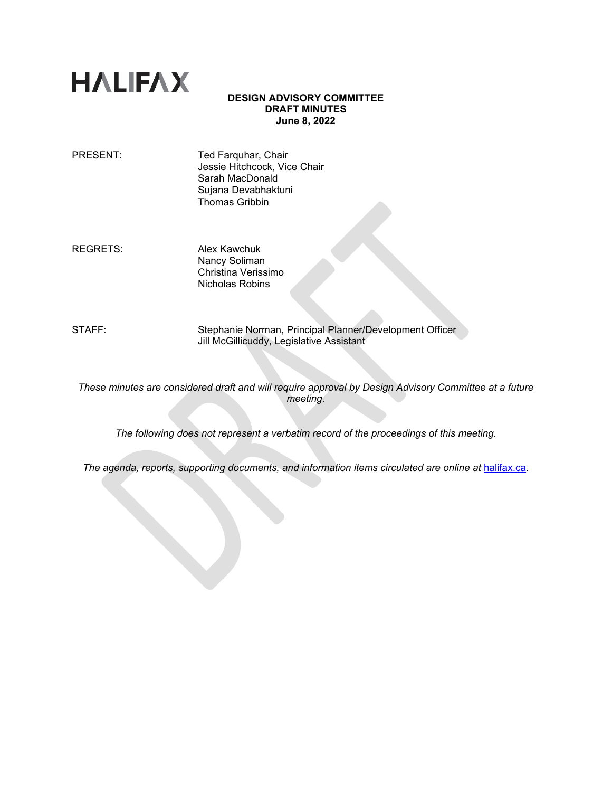# **HALIFAX**

# **DESIGN ADVISORY COMMITTEE DRAFT MINUTES June 8, 2022**

PRESENT: Ted Farquhar, Chair Jessie Hitchcock, Vice Chair Sarah MacDonald Sujana Devabhaktuni Thomas Gribbin

REGRETS: Alex Kawchuk Nancy Soliman Christina Verissimo Nicholas Robins

STAFF: Stephanie Norman, Principal Planner/Development Officer Jill McGillicuddy, Legislative Assistant

*These minutes are considered draft and will require approval by Design Advisory Committee at a future meeting.* 

*The following does not represent a verbatim record of the proceedings of this meeting.*

*The agenda, reports, supporting documents, and information items circulated are online at [halifax.ca](http://www.halifax.ca/).*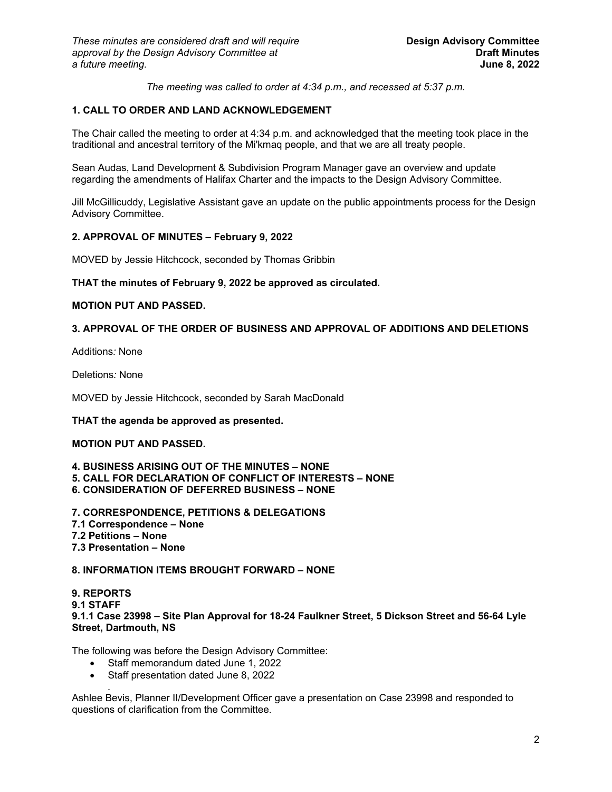*The meeting was called to order at 4:34 p.m., and recessed at 5:37 p.m.*

# **1. CALL TO ORDER AND LAND ACKNOWLEDGEMENT**

The Chair called the meeting to order at 4:34 p.m. and acknowledged that the meeting took place in the traditional and ancestral territory of the Mi'kmaq people, and that we are all treaty people.

Sean Audas, Land Development & Subdivision Program Manager gave an overview and update regarding the amendments of Halifax Charter and the impacts to the Design Advisory Committee.

Jill McGillicuddy, Legislative Assistant gave an update on the public appointments process for the Design Advisory Committee.

# **2. APPROVAL OF MINUTES – February 9, 2022**

MOVED by Jessie Hitchcock, seconded by Thomas Gribbin

## **THAT the minutes of February 9, 2022 be approved as circulated.**

## **MOTION PUT AND PASSED.**

# **3. APPROVAL OF THE ORDER OF BUSINESS AND APPROVAL OF ADDITIONS AND DELETIONS**

Additions*:* None

Deletions*:* None

MOVED by Jessie Hitchcock, seconded by Sarah MacDonald

## **THAT the agenda be approved as presented.**

## **MOTION PUT AND PASSED.**

#### **4. BUSINESS ARISING OUT OF THE MINUTES – NONE 5. CALL FOR DECLARATION OF CONFLICT OF INTERESTS – NONE 6. CONSIDERATION OF DEFERRED BUSINESS – NONE**

- **7. CORRESPONDENCE, PETITIONS & DELEGATIONS**
- **7.1 Correspondence – None**
- **7.2 Petitions – None**
- **7.3 Presentation – None**

## **8. INFORMATION ITEMS BROUGHT FORWARD – NONE**

### **9. REPORTS 9.1 STAFF 9.1.1 Case 23998 – Site Plan Approval for 18-24 Faulkner Street, 5 Dickson Street and 56-64 Lyle Street, Dartmouth, NS**

The following was before the Design Advisory Committee:

- Staff memorandum dated June 1, 2022
- Staff presentation dated June 8, 2022

*.* Ashlee Bevis, Planner II/Development Officer gave a presentation on Case 23998 and responded to questions of clarification from the Committee*.*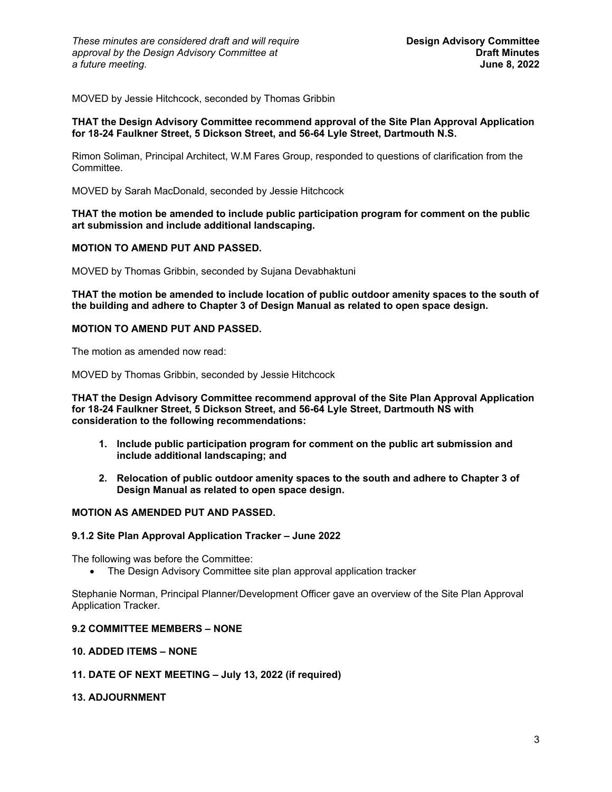MOVED by Jessie Hitchcock, seconded by Thomas Gribbin

## **THAT the Design Advisory Committee recommend approval of the Site Plan Approval Application for 18-24 Faulkner Street, 5 Dickson Street, and 56-64 Lyle Street, Dartmouth N.S.**

Rimon Soliman, Principal Architect, W.M Fares Group, responded to questions of clarification from the **Committee.** 

MOVED by Sarah MacDonald, seconded by Jessie Hitchcock

## **THAT the motion be amended to include public participation program for comment on the public art submission and include additional landscaping.**

## **MOTION TO AMEND PUT AND PASSED.**

MOVED by Thomas Gribbin, seconded by Sujana Devabhaktuni

**THAT the motion be amended to include location of public outdoor amenity spaces to the south of the building and adhere to Chapter 3 of Design Manual as related to open space design.**

#### **MOTION TO AMEND PUT AND PASSED.**

The motion as amended now read:

MOVED by Thomas Gribbin, seconded by Jessie Hitchcock

**THAT the Design Advisory Committee recommend approval of the Site Plan Approval Application for 18-24 Faulkner Street, 5 Dickson Street, and 56-64 Lyle Street, Dartmouth NS with consideration to the following recommendations:**

- **1. Include public participation program for comment on the public art submission and include additional landscaping; and**
- **2. Relocation of public outdoor amenity spaces to the south and adhere to Chapter 3 of Design Manual as related to open space design.**

# **MOTION AS AMENDED PUT AND PASSED.**

#### **9.1.2 Site Plan Approval Application Tracker – June 2022**

The following was before the Committee:

• The Design Advisory Committee site plan approval application tracker

Stephanie Norman, Principal Planner/Development Officer gave an overview of the Site Plan Approval Application Tracker.

#### **9.2 COMMITTEE MEMBERS – NONE**

## **10. ADDED ITEMS – NONE**

## **11. DATE OF NEXT MEETING – July 13, 2022 (if required)**

## **13. ADJOURNMENT**